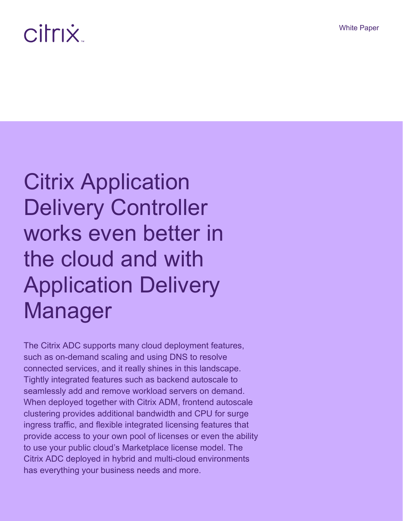# citrix

# Citrix Application Delivery Controller works even better in the cloud and with Application Delivery Manager

The Citrix ADC supports many cloud deployment features, such as on-demand scaling and using DNS to resolve connected services, and it really shines in this landscape. Tightly integrated features such as backend autoscale to seamlessly add and remove workload servers on demand. When deployed together with Citrix ADM, frontend autoscale clustering provides additional bandwidth and CPU for surge ingress traffic, and flexible integrated licensing features that provide access to your own pool of licenses or even the ability to use your public cloud's Marketplace license model. The Citrix ADC deployed in hybrid and multi-cloud environments has everything your business needs and more.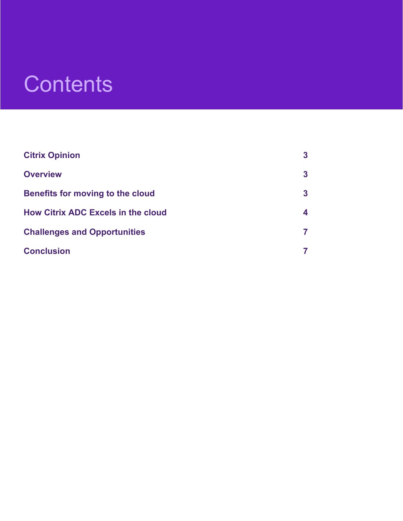### **Contents**

| <b>Citrix Opinion</b>                     | $\mathbf{3}$ |
|-------------------------------------------|--------------|
| <b>Overview</b>                           | $\mathbf{3}$ |
| <b>Benefits for moving to the cloud</b>   | $\mathbf{3}$ |
| <b>How Citrix ADC Excels in the cloud</b> | 4            |
| <b>Challenges and Opportunities</b>       | 7            |
| <b>Conclusion</b>                         |              |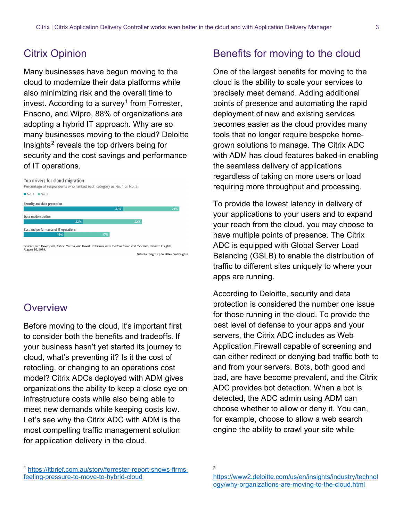#### <span id="page-2-0"></span>Citrix Opinion

Many businesses have begun moving to the cloud to modernize their data platforms while also minimizing risk and the overall time to invest. According to a survey<sup>[1](#page-2-3)</sup> from Forrester, Ensono, and Wipro, 88% of organizations are adopting a hybrid IT approach. Why are so many businesses moving to the cloud? Deloitte Insights[2](#page-2-4) reveals the top drivers being for security and the cost savings and performance of IT operations.

#### Top drivers for cloud migration



#### <span id="page-2-1"></span>**Overview**

 $\overline{a}$ 

Before moving to the cloud, it's important first to consider both the benefits and tradeoffs. If your business hasn't yet started its journey to cloud, what's preventing it? Is it the cost of retooling, or changing to an operations cost model? Citrix ADCs deployed with ADM gives organizations the ability to keep a close eye on infrastructure costs while also being able to meet new demands while keeping costs low. Let's see why the Citrix ADC with ADM is the most compelling traffic management solution for application delivery in the cloud.

#### <span id="page-2-2"></span>Benefits for moving to the cloud

One of the largest benefits for moving to the cloud is the ability to scale your services to precisely meet demand. Adding additional points of presence and automating the rapid deployment of new and existing services becomes easier as the cloud provides many tools that no longer require bespoke homegrown solutions to manage. The Citrix ADC with ADM has cloud features baked-in enabling the seamless delivery of applications regardless of taking on more users or load requiring more throughput and processing.

To provide the lowest latency in delivery of your applications to your users and to expand your reach from the cloud, you may choose to have multiple points of presence. The Citrix ADC is equipped with Global Server Load Balancing (GSLB) to enable the distribution of traffic to different sites uniquely to where your apps are running.

According to Deloitte, security and data protection is considered the number one issue for those running in the cloud. To provide the best level of defense to your apps and your servers, the Citrix ADC includes as Web Application Firewall capable of screening and can either redirect or denying bad traffic both to and from your servers. Bots, both good and bad, are have become prevalent, and the Citrix ADC provides bot detection. When a bot is detected, the ADC admin using ADM can choose whether to allow or deny it. You can, for example, choose to allow a web search engine the ability to crawl your site while

<span id="page-2-4"></span><span id="page-2-3"></span><sup>1</sup> https://itbrief.com.au/story/forrester-report-shows-firmsfeeling-pressure-to-move-to-hybrid-cloud

<sup>2</sup>

https://www2.deloitte.com/us/en/insights/industry/technol ogy/why-organizations-are-moving-to-the-cloud.html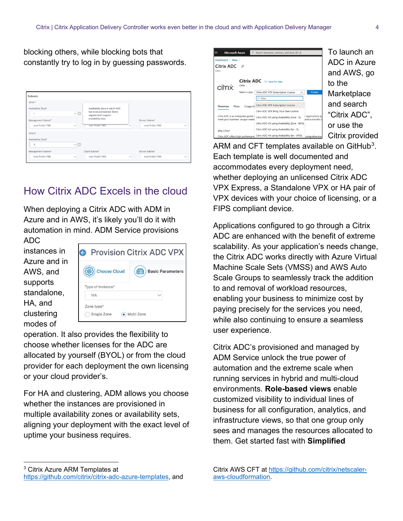blocking others, while blocking bots that constantly try to log in by guessing passwords.

| Subnets            |                         |                                                      |              |                 |              |
|--------------------|-------------------------|------------------------------------------------------|--------------|-----------------|--------------|
| Zone 1             |                         |                                                      |              |                 |              |
| Availability Zone* |                         | Availability Zone in which ADC                       |              |                 |              |
|                    | $\odot$<br>$\checkmark$ | has to be provisioned. Some<br>regions don't support |              |                 |              |
| Management Subnet* |                         | availability zone.                                   |              | Server Subnet*  |              |
| snet-Public-TME    | $\checkmark$            | snet-Public-TME                                      |              | snet-Public-TME | $\checkmark$ |
| Zone 2             |                         |                                                      |              |                 |              |
| Availability Zone* |                         |                                                      |              |                 |              |
| 3                  | $\vee$ 0                |                                                      |              |                 |              |
| Management Subnet* |                         | Client Subnet*                                       |              | Server Subnet*  |              |
| snet-Public-TME    | $\checkmark$            | snet-Public-TME                                      | $\checkmark$ | snet-Public-TME | $\checkmark$ |

### <span id="page-3-0"></span>How Citrix ADC Excels in the cloud

When deploying a Citrix ADC with ADM in Azure and in AWS, it's likely you'll do it with automation in mind. ADM Service provisions

ADC instances in Azure and in AWS, and supports standalone, HA, and clustering modes of



operation. It also provides the flexibility to choose whether licenses for the ADC are allocated by yourself (BYOL) or from the cloud provider for each deployment the own licensing or your cloud provider's.

For HA and clustering, ADM allows you choose whether the instances are provisioned in multiple availability zones or availability sets, aligning your deployment with the exact level of uptime your business requires.



ARM and CFT templates available on GitHub<sup>3</sup>. Each template is well documented and accommodates every deployment need, whether deploying an unlicensed Citrix ADC VPX Express, a Standalone VPX or HA pair of VPX devices with your choice of licensing, or a FIPS compliant device.

Applications configured to go through a Citrix ADC are enhanced with the benefit of extreme scalability. As your application's needs change, the Citrix ADC works directly with Azure Virtual Machine Scale Sets (VMSS) and AWS Auto Scale Groups to seamlessly track the addition to and removal of workload resources, enabling your business to minimize cost by paying precisely for the services you need, while also continuing to ensure a seamless user experience.

Citrix ADC's provisioned and managed by ADM Service unlock the true power of automation and the extreme scale when running services in hybrid and multi-cloud environments. **Role-based views** enable customized visibility to individual lines of business for all configuration, analytics, and infrastructure views, so that one group only sees and manages the resources allocated to them. Get started fast with **Simplified** 

<span id="page-3-1"></span> $\overline{a}$ <sup>3</sup> Citrix Azure ARM Templates at https://github.com/citrix/citrix-adc-azure-templates, and

Citrix AWS CFT at https://github.com/citrix/netscaleraws-cloudformation.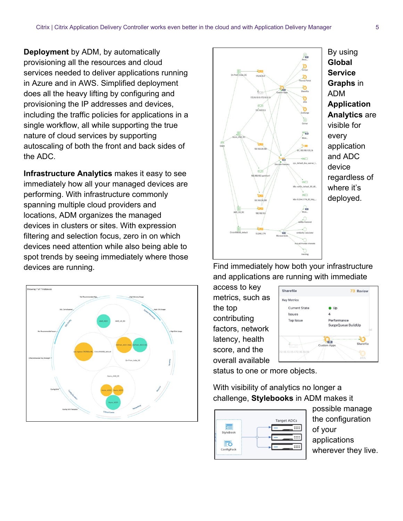**Deployment** by ADM, by automatically provisioning all the resources and cloud services needed to deliver applications running in Azure and in AWS. Simplified deployment does all the heavy lifting by configuring and provisioning the IP addresses and devices, including the traffic policies for applications in a single workflow, all while supporting the true nature of cloud services by supporting autoscaling of both the front and back sides of the ADC.

**Infrastructure Analytics** makes it easy to see immediately how all your managed devices are performing. With infrastructure commonly spanning multiple cloud providers and locations, ADM organizes the managed devices in clusters or sites. With expression filtering and selection focus, zero in on which devices need attention while also being able to spot trends by seeing immediately where those devices are running.





By using **Global Service Graphs** in ADM **Application Analytics** are visible for every application and ADC device regardless of where it's deployed.

Find immediately how both your infrastructure and applications are running with immediate

access to key metrics, such as the top contributing factors, network latency, health score, and the overall available



status to one or more objects.

With visibility of analytics no longer a challenge, **Stylebooks** in ADM makes it



possible manage the configuration of your applications wherever they live.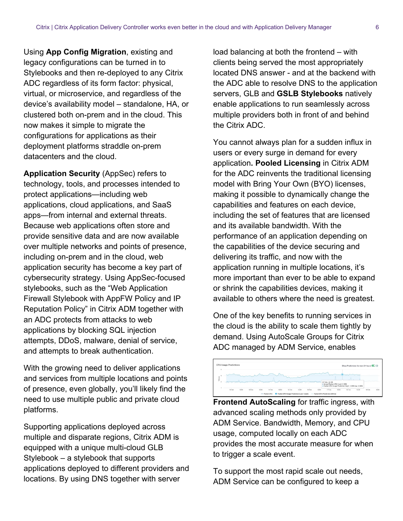Using **App Config Migration**, existing and legacy configurations can be turned in to Stylebooks and then re-deployed to any Citrix ADC regardless of its form factor: physical, virtual, or microservice, and regardless of the device's availability model – standalone, HA, or clustered both on-prem and in the cloud. This now makes it simple to migrate the configurations for applications as their deployment platforms straddle on-prem datacenters and the cloud.

**Application Security** (AppSec) refers to technology, tools, and processes intended to protect applications—including web applications, cloud applications, and SaaS apps—from internal and external threats. Because web applications often store and provide sensitive data and are now available over multiple networks and points of presence, including on-prem and in the cloud, web application security has become a key part of cybersecurity strategy. Using AppSec-focused stylebooks, such as the "Web Application Firewall Stylebook with AppFW Policy and IP Reputation Policy" in Citrix ADM together with an ADC protects from attacks to web applications by blocking SQL injection attempts, DDoS, malware, denial of service, and attempts to break authentication.

With the growing need to deliver applications and services from multiple locations and points of presence, even globally, you'll likely find the need to use multiple public and private cloud platforms.

Supporting applications deployed across multiple and disparate regions, Citrix ADM is equipped with a unique multi-cloud GLB Stylebook – a stylebook that supports applications deployed to different providers and locations. By using DNS together with server

load balancing at both the frontend – with clients being served the most appropriately located DNS answer - and at the backend with the ADC able to resolve DNS to the application servers, GLB and **GSLB Stylebooks** natively enable applications to run seamlessly across multiple providers both in front of and behind the Citrix ADC.

You cannot always plan for a sudden influx in users or every surge in demand for every application**. Pooled Licensing** in Citrix ADM for the ADC reinvents the traditional licensing model with Bring Your Own (BYO) licenses, making it possible to dynamically change the capabilities and features on each device, including the set of features that are licensed and its available bandwidth. With the performance of an application depending on the capabilities of the device securing and delivering its traffic, and now with the application running in multiple locations, it's more important than ever to be able to expand or shrink the capabilities devices, making it available to others where the need is greatest.

One of the key benefits to running services in the cloud is the ability to scale them tightly by demand. Using AutoScale Groups for Citrix ADC managed by ADM Service, enables



**Frontend AutoScaling** for traffic ingress, with advanced scaling methods only provided by ADM Service. Bandwidth, Memory, and CPU usage, computed locally on each ADC provides the most accurate measure for when to trigger a scale event.

To support the most rapid scale out needs, ADM Service can be configured to keep a